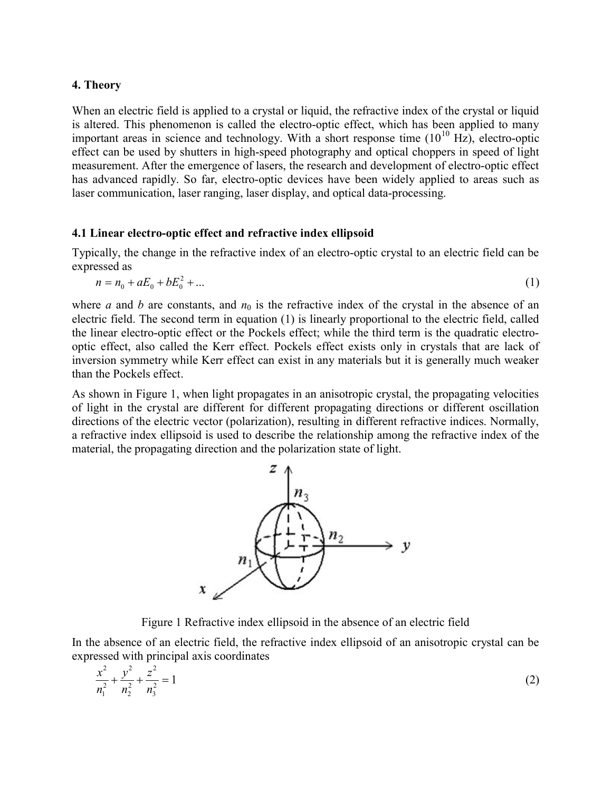# 4. Theory

When an electric field is applied to a crystal or liquid, the refractive index of the crystal or liquid is altered. This phenomenon is called the electro-optic effect, which has been applied to many important areas in science and technology. With a short response time  $(10^{10}$  Hz), electro-optic effect can be used by shutters in high-speed photography and optical choppers in speed of light measurement. After the emergence of lasers, the research and development of electro-optic effect has advanced rapidly. So far, electro-optic devices have been widely applied to areas such as laser communication, laser ranging, laser display, and optical data-processing.

# 4.1 Linear electro-optic effect and refractive index ellipsoid

Typically, the change in the refractive index of an electro-optic crystal to an electric field can be expressed as

$$
n = n_0 + aE_0 + bE_0^2 + \dots \tag{1}
$$

where a and b are constants, and  $n_0$  is the refractive index of the crystal in the absence of an electric field. The second term in equation (1) is linearly proportional to the electric field, called the linear electro-optic effect or the Pockels effect; while the third term is the quadratic electrooptic effect, also called the Kerr effect. Pockels effect exists only in crystals that are lack of inversion symmetry while Kerr effect can exist in any materials but it is generally much weaker than the Pockels effect.

As shown in Figure 1, when light propagates in an anisotropic crystal, the propagating velocities of light in the crystal are different for different propagating directions or different oscillation directions of the electric vector (polarization), resulting in different refractive indices. Normally, a refractive index ellipsoid is used to describe the relationship among the refractive index of the material, the propagating direction and the polarization state of light.



Figure 1 Refractive index ellipsoid in the absence of an electric field

In the absence of an electric field, the refractive index ellipsoid of an anisotropic crystal can be expressed with principal axis coordinates

$$
\frac{x^2}{n_1^2} + \frac{y^2}{n_2^2} + \frac{z^2}{n_3^2} = 1\tag{2}
$$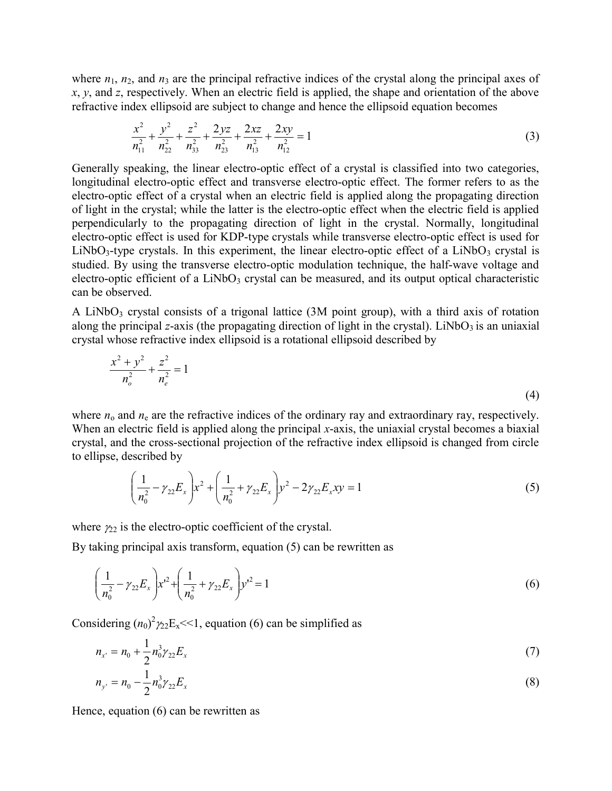where  $n_1$ ,  $n_2$ , and  $n_3$  are the principal refractive indices of the crystal along the principal axes of  $x, y$ , and z, respectively. When an electric field is applied, the shape and orientation of the above refractive index ellipsoid are subject to change and hence the ellipsoid equation becomes

$$
\frac{x^2}{n_{11}^2} + \frac{y^2}{n_{22}^2} + \frac{z^2}{n_{33}^2} + \frac{2yz}{n_{23}^2} + \frac{2xz}{n_{13}^2} + \frac{2xy}{n_{12}^2} = 1
$$
\n(3)

Generally speaking, the linear electro-optic effect of a crystal is classified into two categories, longitudinal electro-optic effect and transverse electro-optic effect. The former refers to as the electro-optic effect of a crystal when an electric field is applied along the propagating direction of light in the crystal; while the latter is the electro-optic effect when the electric field is applied perpendicularly to the propagating direction of light in the crystal. Normally, longitudinal electro-optic effect is used for KDP-type crystals while transverse electro-optic effect is used for LiNbO<sub>3</sub>-type crystals. In this experiment, the linear electro-optic effect of a LiNbO<sub>3</sub> crystal is studied. By using the transverse electro-optic modulation technique, the half-wave voltage and electro-optic efficient of a  $LiNbO<sub>3</sub>$  crystal can be measured, and its output optical characteristic can be observed.

A LiNbO<sub>3</sub> crystal consists of a trigonal lattice  $(3M)$  point group), with a third axis of rotation along the principal z-axis (the propagating direction of light in the crystal). LiNbO3 is an uniaxial crystal whose refractive index ellipsoid is a rotational ellipsoid described by

$$
\frac{x^2 + y^2}{n_o^2} + \frac{z^2}{n_e^2} = 1
$$
\n(4)

where  $n_0$  and  $n_e$  are the refractive indices of the ordinary ray and extraordinary ray, respectively. When an electric field is applied along the principal x-axis, the uniaxial crystal becomes a biaxial crystal, and the cross-sectional projection of the refractive index ellipsoid is changed from circle to ellipse, described by

$$
\left(\frac{1}{n_0^2} - \gamma_{22} E_x\right) x^2 + \left(\frac{1}{n_0^2} + \gamma_{22} E_x\right) y^2 - 2\gamma_{22} E_x xy = 1
$$
\n(5)

where  $\gamma_{22}$  is the electro-optic coefficient of the crystal.

By taking principal axis transform, equation (5) can be rewritten as

$$
\left(\frac{1}{n_0^2} - \gamma_{22} E_x\right) x^2 + \left(\frac{1}{n_0^2} + \gamma_{22} E_x\right) y^2 = 1
$$
\n(6)

Considering  $(n_0)^2 \gamma_2 E_x \ll 1$ , equation (6) can be simplified as

$$
n_{x'} = n_0 + \frac{1}{2} n_0^3 \gamma_{22} E_x \tag{7}
$$

$$
n_{y'} = n_0 - \frac{1}{2} n_0^3 \gamma_{22} E_x \tag{8}
$$

Hence, equation (6) can be rewritten as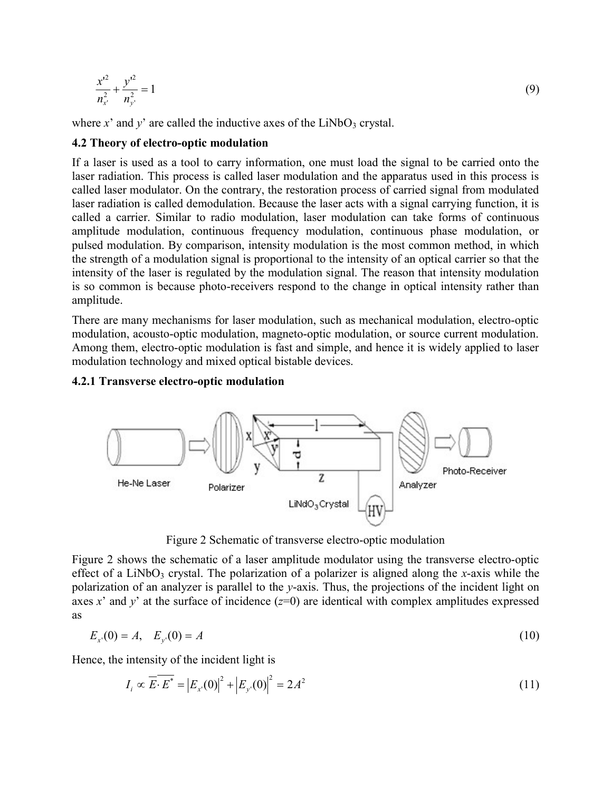$$
\frac{{x'}^{2}}{n_{x'}^{2}} + \frac{{y'}^{2}}{n_{y'}^{2}} = 1
$$
\n(9)

where  $x'$  and  $y'$  are called the inductive axes of the LiNbO<sub>3</sub> crystal.

# 4.2 Theory of electro-optic modulation

If a laser is used as a tool to carry information, one must load the signal to be carried onto the laser radiation. This process is called laser modulation and the apparatus used in this process is called laser modulator. On the contrary, the restoration process of carried signal from modulated laser radiation is called demodulation. Because the laser acts with a signal carrying function, it is called a carrier. Similar to radio modulation, laser modulation can take forms of continuous amplitude modulation, continuous frequency modulation, continuous phase modulation, or pulsed modulation. By comparison, intensity modulation is the most common method, in which the strength of a modulation signal is proportional to the intensity of an optical carrier so that the intensity of the laser is regulated by the modulation signal. The reason that intensity modulation is so common is because photo-receivers respond to the change in optical intensity rather than amplitude.

There are many mechanisms for laser modulation, such as mechanical modulation, electro-optic modulation, acousto-optic modulation, magneto-optic modulation, or source current modulation. Among them, electro-optic modulation is fast and simple, and hence it is widely applied to laser modulation technology and mixed optical bistable devices.

# 4.2.1 Transverse electro-optic modulation



Figure 2 Schematic of transverse electro-optic modulation

Figure 2 shows the schematic of a laser amplitude modulator using the transverse electro-optic effect of a LiNbO<sub>3</sub> crystal. The polarization of a polarizer is aligned along the x-axis while the polarization of an analyzer is parallel to the y-axis. Thus, the projections of the incident light on axes x' and y' at the surface of incidence  $(z=0)$  are identical with complex amplitudes expressed as

$$
E_{x}(0) = A, \quad E_{y}(0) = A \tag{10}
$$

Hence, the intensity of the incident light is

$$
I_i \propto \overline{E} \cdot \overline{E^*} = |E_{x}(0)|^2 + |E_{y}(0)|^2 = 2A^2
$$
 (11)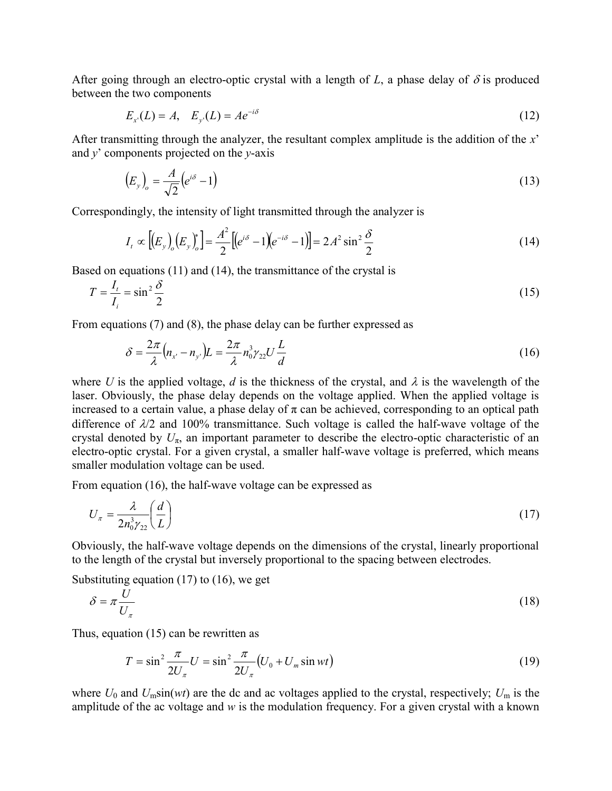After going through an electro-optic crystal with a length of L, a phase delay of  $\delta$  is produced between the two components

$$
E_{x}(L) = A, \quad E_{y}(L) = Ae^{-i\delta} \tag{12}
$$

After transmitting through the analyzer, the resultant complex amplitude is the addition of the x' and  $y'$  components projected on the  $y$ -axis

g through an electro-optic crystal with a length of *L*, a phase delay of δ is produced  
etwo components  

$$
E_x(L) = A
$$
,  $E_y(L) = Ae^{-iδ}$  (12)  
mitting through the analyzer, the resultant complex amplitude is the addition of the *x*'  
ponents projected on the *y*-axis  
 $(E_y)_o = \frac{A}{\sqrt{2}} (e^{iδ} - 1)$  (13)  
lingly, the intensity of light transmitted through the analyzer is  
 $I_x \propto [(F_x)(F_y)]^2 - \frac{A^2}{\sqrt{2}} [(e^{iδ} - 1)(e^{-iδ} - 1)]^2 - 2e^2 \sin^2 δ$  (14)

Correspondingly, the intensity of light transmitted through the analyzer is

g through an electro-optic crystal with a length of *L*, a phase delay of 
$$
\delta
$$
 is produced  
in the two components  

$$
E_x(L) = A, E_y(L) = Ae^{-i\delta}
$$
(12)  
mitting through the analyzer, the resultant complex amplitude is the addition of the *x*'  
ponents projected on the *y*-axis  

$$
(E_y)_o = \frac{A}{\sqrt{2}} (e^{i\delta} - 1)
$$
(13)  
lingly, the intensity of light transmitted through the analyzer is  

$$
I_t \propto [(E_y)_o(E_y)_o^*] = \frac{A^2}{2} [(e^{i\delta} - 1)(e^{-i\delta} - 1)] = 2A^2 \sin^2 \frac{\delta}{2}
$$
(14)  
quations (11) and (14), the transmittance of the crystal is  

$$
= \sin^2 \frac{\delta}{2}
$$
(15)

Based on equations (11) and (14), the transmittance of the crystal is

$$
T = \frac{I_t}{I_i} = \sin^2 \frac{\delta}{2}
$$
 (15)

From equations (7) and (8), the phase delay can be further expressed as

$$
\delta = \frac{2\pi}{\lambda} \left( n_{x} - n_{y} \right) L = \frac{2\pi}{\lambda} n_0^3 \gamma_{22} U \frac{L}{d}
$$
\n(16)

in and (8), the projected on the properties of the cycles of the endinverse delay of  $\pi$  and  $\ell$  and  $\ell$  and  $\ell$  and  $\ell$  and  $\ell$  and  $\ell$  and  $\ell$  and  $\ell$  and  $\ell$  and  $\ell$  and  $\ell$  and  $\ell$  and  $\ell$  and  $\ell$  and where U is the applied voltage, d is the thickness of the crystal, and  $\lambda$  is the wavelength of the laser. Obviously, the phase delay depends on the voltage applied. When the applied voltage is increased to a certain value, a phase delay of  $\pi$  can be achieved, corresponding to an optical path difference of  $\lambda/2$  and 100% transmittance. Such voltage is called the half-wave voltage of the crystal denoted by  $U_{\pi}$ , an important parameter to describe the electro-optic characteristic of an electro-optic crystal. For a given crystal, a smaller half-wave voltage is preferred, which means smaller modulation voltage can be used. Example 11 with the vinder of the cyclus. When the phplical voltage is<br>clay of  $\pi$  can be achieved, corresponding to an optical path<br>ance. Such voltage is called the half-wave voltage of the<br>arameter to describe the elec

From equation (16), the half-wave voltage can be expressed as

$$
U_{\pi} = \frac{\lambda}{2n_0^3 \gamma_{22}} \left(\frac{d}{L}\right) \tag{17}
$$

Obviously, the half-wave voltage depends on the dimensions of the crystal, linearly proportional to the length of the crystal but inversely proportional to the spacing between electrodes.

Substituting equation (17) to (16), we get

$$
\delta = \pi \frac{U}{U_{\pi}} \tag{18}
$$

Thus, equation (15) can be rewritten as

$$
T = \sin^2 \frac{\pi}{2U_{\pi}} U = \sin^2 \frac{\pi}{2U_{\pi}} (U_0 + U_m \sin wt)
$$
 (19)

where  $U_0$  and  $U_m\sin(wt)$  are the dc and ac voltages applied to the crystal, respectively;  $U_m$  is the amplitude of the ac voltage and  $w$  is the modulation frequency. For a given crystal with a known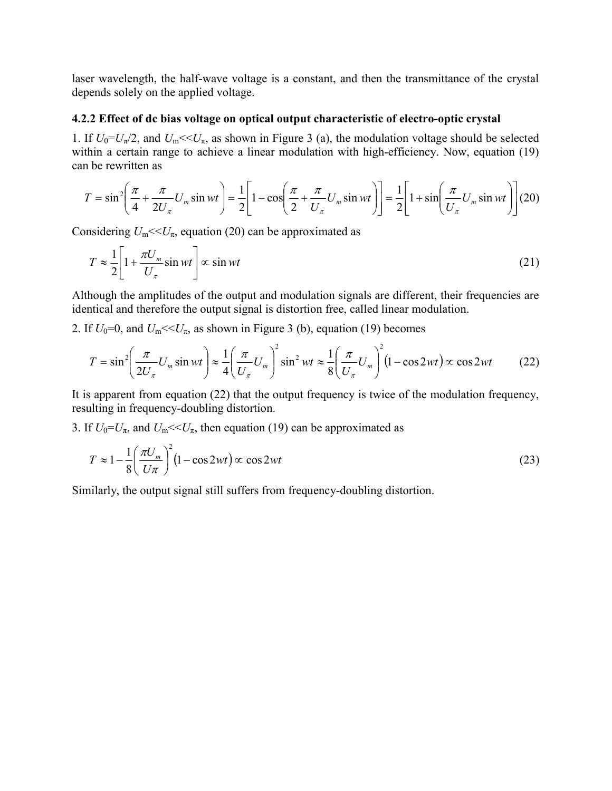laser wavelength, the half-wave voltage is a constant, and then the transmittance of the crystal depends solely on the applied voltage.

#### 4.2.2 Effect of dc bias voltage on optical output characteristic of electro-optic crystal

1. If  $U_0 = U_\pi/2$ , and  $U_\pi \ll U_\pi$ , as shown in Figure 3 (a), the modulation voltage should be selected within a certain range to achieve a linear modulation with high-efficiency. Now, equation (19) can be rewritten as

2.2 Effect of de bias voltage on optical output characteristic of electro-optic crystal  
\nIf 
$$
U_0=U_\pi/2
$$
, and  $U_m<, as shown in Figure 3 (a), the modulation voltage should be selected  
\nthin a certain range to achieve a linear modulation with high-efficiency. Now, equation (19)  
\nn be rewritten as  
\n
$$
T = \sin^2\left(\frac{\pi}{4} + \frac{\pi}{2U_\pi}U_m \sin wt\right) = \frac{1}{2}\left[1 - \cos\left(\frac{\pi}{2} + \frac{\pi}{U_\pi}U_m \sin wt\right)\right] = \frac{1}{2}\left[1 + \sin\left(\frac{\pi}{U_\pi}U_m \sin wt\right)\right](20)
$$
\nconsidering  $U_m<, equation (20) can be approximated as  
\n
$$
T \approx \frac{1}{2}\left[1 + \frac{\pi U_m}{U_\pi} \sin wt\right] \propto \sin wt
$$
\n(21)  
\nthough the amplitudes of the output and modulation signals are different, their frequencies are  
\nentical and therefore the output signal is distortion free, called linear modulation.  
\nIf  $U_0=0$ , and  $U_m<, as shown in Figure 3 (b), equation (19) becomes  
\n
$$
T = \sin^2\left(\frac{\pi}{2U_\pi}U_m \sin wt\right) \approx \frac{1}{4}\left(\frac{\pi}{U_\pi}U_m\right)^2 \sin^2 wt \approx \frac{1}{8}\left(\frac{\pi}{U_\pi}U_m\right)^2 (1 - \cos 2wt) \propto \cos 2wt
$$
\n(22)  
\nis apparent from equation (22) that the output frequency is twice of the modulation frequency,  
\n23.$$$ 

Considering  $U_m \ll U_\pi$ , equation (20) can be approximated as

$$
T \approx \frac{1}{2} \left[ 1 + \frac{\pi U_m}{U_{\pi}} \sin wt \right] \propto \sin wt \tag{21}
$$

Although the amplitudes of the output and modulation signals are different, their frequencies are identical and therefore the output signal is distortion free, called linear modulation.

2. If  $U_0=0$ , and  $U_m \ll U_\pi$ , as shown in Figure 3 (b), equation (19) becomes

$$
\begin{aligned}\n&= \sin^2 \left( \frac{1}{4} + \frac{1}{2U_\pi} U_m \sin wt \right) = \frac{1}{2} \left[ 1 - \cos \left( \frac{1}{2} + \frac{1}{U_\pi} U_m \sin wt \right) \right] = \frac{1}{2} \left[ 1 + \sin \left( \frac{U_m}{U_\pi} \sin wt \right) \right] (20) \\
&\text{sidering } U_m \ll U_m, \&\text{ equation (20) can be approximated as} \\
T \approx \frac{1}{2} \left[ 1 + \frac{\pi U_m}{U_\pi} \sin wt \right] \propto \sin wt \qquad (21) \\
&\text{hough the amplitudes of the output and modulation signals are different, their frequencies arentical and therefore the output signal is distortion free, called linear modulation.\n\end{aligned}
$$
\n
$$
f U_0 = 0, \text{ and } U_m \ll U_m, \text{ as shown in Figure 3 (b), equation (19) becomes} \\
T = \sin^2 \left( \frac{\pi}{2U_\pi} U_m \sin wt \right) \approx \frac{1}{4} \left( \frac{\pi}{U_\pi} U_m \right)^2 \sin^2 wt \approx \frac{1}{8} \left( \frac{\pi}{U_\pi} U_m \right)^2 (1 - \cos 2wt) \propto \cos 2wt \qquad (22) \\
&\text{a apparent from equation (22) that the output frequency is twice of the modulation frequency,}\n\end{aligned}
$$
\n
$$
f U_0 = U_m, \text{ and } U_m \ll U_m \ll U_m \qquad (19) \text{ can be approximated as} \\
T \approx 1 - \frac{1}{8} \left( \frac{\pi U_m}{U_\pi} \right)^2 (1 - \cos 2wt) \propto \cos 2wt \qquad (23)
$$
\n
$$
\text{rightly, the output signal still suffers from frequency-doubling distortion.}
$$

It is apparent from equation (22) that the output frequency is twice of the modulation frequency, resulting in frequency-doubling distortion.

3. If  $U_0 = U_\pi$ , and  $U_\text{m} \ll U_\pi$ , then equation (19) can be approximated as

$$
T \approx 1 - \frac{1}{8} \left( \frac{\pi U_m}{U \pi} \right)^2 (1 - \cos 2wt) \propto \cos 2wt \tag{23}
$$

Similarly, the output signal still suffers from frequency-doubling distortion.